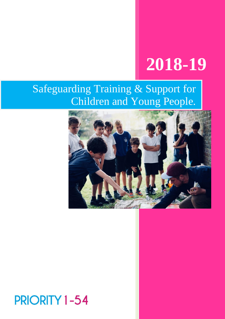# **2018-19**

## Safeguarding Training & Support for Children and Young People.



## **PRIORITY 1-54**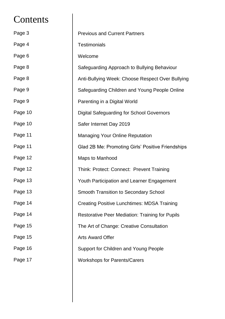### **Contents**

 $\begin{array}{c} \hline \end{array}$ 

| Page 3  | <b>Previous and Current Partners</b>                   |
|---------|--------------------------------------------------------|
| Page 4  | <b>Testimonials</b>                                    |
| Page 6  | Welcome                                                |
| Page 8  | Safeguarding Approach to Bullying Behaviour            |
| Page 8  | Anti-Bullying Week: Choose Respect Over Bullying       |
| Page 9  | Safeguarding Children and Young People Online          |
| Page 9  | Parenting in a Digital World                           |
| Page 10 | <b>Digital Safeguarding for School Governors</b>       |
| Page 10 | Safer Internet Day 2019                                |
| Page 11 | <b>Managing Your Online Reputation</b>                 |
| Page 11 | Glad 2B Me: Promoting Girls' Positive Friendships      |
| Page 12 | Maps to Manhood                                        |
| Page 12 | Think: Protect: Connect: Prevent Training              |
| Page 13 | Youth Participation and Learner Engagement             |
| Page 13 | <b>Smooth Transition to Secondary School</b>           |
| Page 14 | <b>Creating Positive Lunchtimes: MDSA Training</b>     |
| Page 14 | <b>Restorative Peer Mediation: Training for Pupils</b> |
| Page 15 | The Art of Change: Creative Consultation               |
| Page 15 | <b>Arts Award Offer</b>                                |
| Page 16 | Support for Children and Young People                  |
| Page 17 | <b>Workshops for Parents/Carers</b>                    |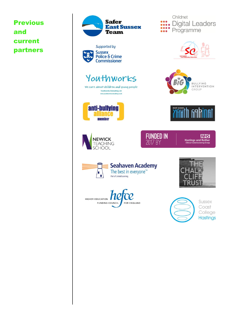Previous and current partners

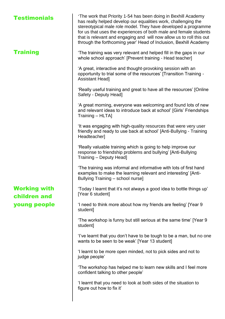| <b>Testimonials</b>                 | 'The work that Priority 1-54 has been doing in Bexhill Academy<br>has really helped develop our equalities work, challenging the<br>stereotypical male role model. They have developed a programme<br>for us that uses the experiences of both male and female students<br>that is relevant and engaging and will now allow us to roll this out<br>through the forthcoming year' Head of Inclusion, Bexhill Academy |
|-------------------------------------|---------------------------------------------------------------------------------------------------------------------------------------------------------------------------------------------------------------------------------------------------------------------------------------------------------------------------------------------------------------------------------------------------------------------|
| <b>Training</b>                     | 'The training was very relevant and helped fill in the gaps in our<br>whole school approach' [Prevent training - Head teacher]                                                                                                                                                                                                                                                                                      |
|                                     | 'A great, interactive and thought-provoking session with an<br>opportunity to trial some of the resources' [Transition Training -<br><b>Assistant Head]</b>                                                                                                                                                                                                                                                         |
|                                     | 'Really useful training and great to have all the resources' [Online<br>Safety - Deputy Head]                                                                                                                                                                                                                                                                                                                       |
|                                     | 'A great morning, everyone was welcoming and found lots of new<br>and relevant ideas to introduce back at school' [Girls' Friendships<br>Training - HLTA]                                                                                                                                                                                                                                                           |
|                                     | 'It was engaging with high-quality resources that were very user<br>friendly and ready to use back at school' [Anti-Bullying - Training<br>Headteacher]                                                                                                                                                                                                                                                             |
|                                     | 'Really valuable training which is going to help improve our<br>response to friendship problems and bullying' [Anti-Bullying<br>Training - Deputy Head]                                                                                                                                                                                                                                                             |
|                                     | 'The training was informal and informative with lots of first hand<br>examples to make the learning relevant and interesting' [Anti-<br>Bullying Training - school nurse]                                                                                                                                                                                                                                           |
| <b>Working with</b><br>children and | 'Today I learnt that it's not always a good idea to bottle things up'<br>[Year 6 student]                                                                                                                                                                                                                                                                                                                           |
| young people                        | 'I need to think more about how my friends are feeling' [Year 9]<br>student]                                                                                                                                                                                                                                                                                                                                        |
|                                     | 'The workshop is funny but still serious at the same time' [Year 9<br>student]                                                                                                                                                                                                                                                                                                                                      |
|                                     | 'i've learnt that you don't have to be tough to be a man, but no one<br>wants to be seen to be weak' [Year 13 student]                                                                                                                                                                                                                                                                                              |
|                                     | I learnt to be more open minded, not to pick sides and not to<br>judge people'                                                                                                                                                                                                                                                                                                                                      |
|                                     | 'The workshop has helped me to learn new skills and I feel more<br>confident talking to other people'                                                                                                                                                                                                                                                                                                               |
|                                     | 'I learnt that you need to look at both sides of the situation to<br>figure out how to fix it'                                                                                                                                                                                                                                                                                                                      |
|                                     |                                                                                                                                                                                                                                                                                                                                                                                                                     |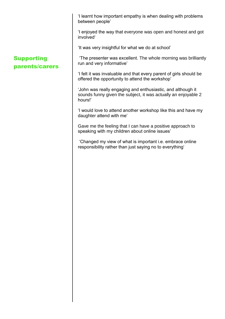'I learnt how important empathy is when dealing with problems between people'

'I enjoyed the way that everyone was open and honest and got involved'

'It was very insightful for what we do at school'

'The presenter was excellent. The whole morning was brilliantly run and very informative'

'I felt it was invaluable and that every parent of girls should be offered the opportunity to attend the workshop'

'John was really engaging and enthusiastic, and although it sounds funny given the subject, it was actually an enjoyable 2 hours!'

'I would love to attend another workshop like this and have my daughter attend with me'

Gave me the feeling that I can have a positive approach to speaking with my children about online issues'

'Changed my view of what is important i.e. embrace online responsibility rather than just saying no to everything'

#### Supporting parents/carers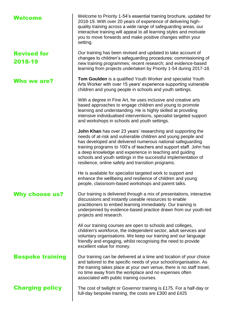| Welcome                       | Welcome to Priority 1-54's essential training brochure, updated for<br>2018-19. With over 20 years of experience of delivering high-<br>quality training across a wide range of safeguarding areas, our<br>interactive training will appeal to all learning styles and motivate<br>you to move forwards and make positive changes within your<br>setting.                                                                                                  |
|-------------------------------|------------------------------------------------------------------------------------------------------------------------------------------------------------------------------------------------------------------------------------------------------------------------------------------------------------------------------------------------------------------------------------------------------------------------------------------------------------|
| <b>Revised for</b><br>2018-19 | Our training has been revised and updated to take account of<br>changes to children's safeguarding procedures; commissioning of<br>new training programmes; recent research; and evidence-based<br>learning from projects undertaken by Priority 1-54 during 2017-18.                                                                                                                                                                                      |
| <b>Who we are?</b>            | <b>Tom Goulden</b> is a qualified Youth Worker and specialist Youth<br>Arts Worker with over 15 years' experience supporting vulnerable<br>children and young people in schools and youth settings.                                                                                                                                                                                                                                                        |
|                               | With a degree in Fine Art, he uses inclusive and creative arts<br>based approaches to engage children and young to promote<br>learning and understanding. He is highly skilled at providing<br>intensive individualised interventions, specialist targeted support<br>and workshops in schools and youth settings.                                                                                                                                         |
|                               | <b>John Khan</b> has over 23 years' researching and supporting the<br>needs of at-risk and vulnerable children and young people and<br>has developed and delivered numerous national safeguarding<br>training programs to 100's of teachers and support staff. John has<br>a deep knowledge and experience in teaching and guiding<br>schools and youth settings in the successful implementation of<br>resilience, online safety and transition programs. |
|                               | He is available for specialist targeted work to support and<br>enhance the wellbeing and resilience of children and young<br>people, classroom-based workshops and parent talks.                                                                                                                                                                                                                                                                           |
| <b>Why choose us?</b>         | Our training is delivered through a mix of presentations, interactive<br>discussions and instantly useable resources to enable<br>practitioners to embed learning immediately. Our training is<br>underpinned by evidence-based practice drawn from our youth-led<br>projects and research.                                                                                                                                                                |
|                               | All our training courses are open to schools and colleges,<br>children's workforce, the independent sector, adult services and<br>voluntary organisations. We keep our training and our language<br>friendly and engaging, whilst recognising the need to provide<br>excellent value for money.                                                                                                                                                            |
| <b>Bespoke training</b>       | Our training can be delivered at a time and location of your choice<br>and tailored to the specific needs of your school/organisation. As<br>the training takes place at your own venue, there is no staff travel,<br>no time away from the workplace and no expenses often<br>associated with public training courses.                                                                                                                                    |
| <b>Charging policy</b>        | The cost of twilight or Governor training is £175. For a half-day or<br>full-day bespoke training, the costs are £300 and £425                                                                                                                                                                                                                                                                                                                             |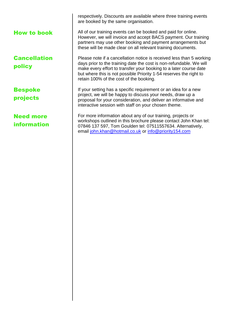How to book

Cancellation policy

Bespoke projects

Need more information

respectively. Discounts are available where three training events are booked by the same organisation.

All of our training events can be booked and paid for online. However, we will invoice and accept BACS payment. Our training partners may use other booking and payment arrangements but these will be made clear on all relevant training documents.

Please note if a cancellation notice is received less than 5 working days prior to the training date the cost is non-refundable. We will make every effort to transfer your booking to a later course date but where this is not possible Priority 1-54 reserves the right to retain 100% of the cost of the booking.

If your setting has a specific requirement or an idea for a new project, we will be happy to discuss your needs, draw up a proposal for your consideration, and deliver an informative and interactive session with staff on your chosen theme.

For more information about any of our training, projects or workshops outlined in this brochure please contact John Khan tel: 07846 137 597, Tom Goulden tel: 07511557634. Alternatively, email [john.khan@hotmail.co.uk](mailto:john.khan@hotmail.co.uk) or [info@priority154.com](mailto:info@priority154.com)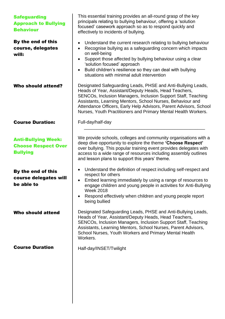| <b>Safeguarding</b><br><b>Approach to Bullying</b><br><b>Behaviour</b>      | This essential training provides an all-round grasp of the key<br>principals relating to bullying behaviour, offering a 'solution<br>focused' casework approach so as to respond quickly and<br>effectively to incidents of bullying.                                                                                                                                                       |
|-----------------------------------------------------------------------------|---------------------------------------------------------------------------------------------------------------------------------------------------------------------------------------------------------------------------------------------------------------------------------------------------------------------------------------------------------------------------------------------|
| By the end of this<br>course, delegates<br>will:                            | Understand the current research relating to bullying behaviour<br>Recognise bullying as a safeguarding concern which impacts<br>on well-being<br>Support those affected by bullying behaviour using a clear<br>'solution focused' approach<br>Build children's resilience so they can deal with bullying<br>$\bullet$<br>situations with minimal adult intervention                         |
| Who should attend?                                                          | Designated Safeguarding Leads, PHSE and Anti-Bullying Leads,<br>Heads of Year, Assistant/Deputy Heads, Head Teachers,<br>SENCOs, Inclusion Managers, Inclusion Support Staff, Teaching<br>Assistants, Learning Mentors, School Nurses, Behaviour and<br>Attendance Officers, Early Help Advisors, Parent Advisors, School<br>Nurses, Youth Practitioners and Primary Mental Health Workers. |
| <b>Course Duration:</b>                                                     | Full-day/half-day                                                                                                                                                                                                                                                                                                                                                                           |
| <b>Anti-Bullying Week:</b><br><b>Choose Respect Over</b><br><b>Bullying</b> | We provide schools, colleges and community organisations with a<br>deep dive opportunity to explore the theme 'Choose Respect'<br>over bullying. This popular training event provides delegates with<br>access to a wide range of resources including assembly outlines<br>and lesson plans to support this years' theme.                                                                   |
| By the end of this<br>course delegates will<br>be able to                   | Understand the definition of respect including self-respect and<br>respect for others<br>• Embed learning immediately by using a range of resources to<br>engage children and young people in activities for Anti-Bullying<br><b>Week 2018</b><br>Respond effectively when children and young people report<br>$\bullet$<br>being bullied                                                   |
| <b>Who should attend</b>                                                    | Designated Safeguarding Leads, PHSE and Anti-Bullying Leads,<br>Heads of Year, Assistant/Deputy Heads, Head Teachers,<br>SENCOs, Inclusion Managers, Inclusion Support Staff, Teaching<br>Assistants, Learning Mentors, School Nurses, Parent Advisors,<br>School Nurses, Youth Workers and Primary Mental Health<br>Workers.                                                               |
| <b>Course Duration</b>                                                      | Half-day/INSET/Twilight                                                                                                                                                                                                                                                                                                                                                                     |
|                                                                             |                                                                                                                                                                                                                                                                                                                                                                                             |
|                                                                             |                                                                                                                                                                                                                                                                                                                                                                                             |
|                                                                             |                                                                                                                                                                                                                                                                                                                                                                                             |
|                                                                             |                                                                                                                                                                                                                                                                                                                                                                                             |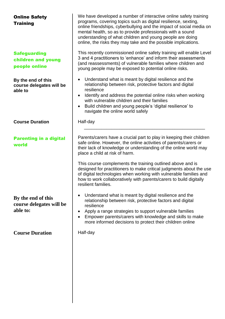| <b>Online Safety</b><br><b>Training</b>                    | We have developed a number of interactive online safety training<br>programs, covering topics such as digital resilience, sexting,<br>online friendships, cyberbullying and the impact of social media on<br>mental health, so as to provide professionals with a sound<br>understanding of what children and young people are doing<br>online, the risks they may take and the possible implications.                                                                                                                                                |
|------------------------------------------------------------|-------------------------------------------------------------------------------------------------------------------------------------------------------------------------------------------------------------------------------------------------------------------------------------------------------------------------------------------------------------------------------------------------------------------------------------------------------------------------------------------------------------------------------------------------------|
| <b>Safeguarding</b><br>children and young<br>people online | This recently commissioned online safety training will enable Level<br>3 and 4 practitioners to 'enhance' and inform their assessments<br>(and reassessments) of vulnerable families where children and<br>young people may be exposed to potential online risks.                                                                                                                                                                                                                                                                                     |
| By the end of this<br>course delegates will be<br>able to  | Understand what is meant by digital resilience and the<br>relationship between risk, protective factors and digital<br>resilience<br>Identify and address the potential online risks when working<br>with vulnerable children and their families<br>Build children and young people's 'digital resilience' to<br>navigate the online world safely                                                                                                                                                                                                     |
| <b>Course Duration</b>                                     | Half-day                                                                                                                                                                                                                                                                                                                                                                                                                                                                                                                                              |
| <b>Parenting in a digital</b><br>world                     | Parents/carers have a crucial part to play in keeping their children<br>safe online. However, the online activities of parents/carers or<br>their lack of knowledge or understanding of the online world may<br>place a child at risk of harm.<br>This course complements the training outlined above and is<br>designed for practitioners to make critical judgments about the use<br>of digital technologies when working with vulnerable families and<br>how to work collaboratively with parents/carers to build digitally<br>resilient families. |
| By the end of this<br>course delegates will be<br>able to: | Understand what is meant by digital resilience and the<br>relationship between risk, protective factors and digital<br>resilience<br>Apply a range strategies to support vulnerable families<br>$\bullet$<br>Empower parents/carers with knowledge and skills to make<br>more informed decisions to protect their children online                                                                                                                                                                                                                     |
| <b>Course Duration</b>                                     | Half-day                                                                                                                                                                                                                                                                                                                                                                                                                                                                                                                                              |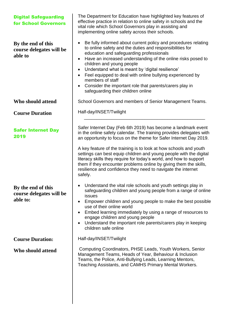| <b>Digital Safeguarding</b><br><b>for School Governors</b>                          | The Department for Education have highlighted key features of<br>effective practice in relation to online safety in schools and the<br>vital role which School Governors play in assisting and<br>implementing online safety across their schools.                                                                                                                                                                                                                                                                                                                                                                                                                                                                    |
|-------------------------------------------------------------------------------------|-----------------------------------------------------------------------------------------------------------------------------------------------------------------------------------------------------------------------------------------------------------------------------------------------------------------------------------------------------------------------------------------------------------------------------------------------------------------------------------------------------------------------------------------------------------------------------------------------------------------------------------------------------------------------------------------------------------------------|
| By the end of this<br>course delegates will be<br>able to                           | Be fully informed about current policy and procedures relating<br>$\bullet$<br>to online safety and the duties and responsibilities for<br>education and safeguarding professionals<br>Have an increased understanding of the online risks posed to<br>$\bullet$<br>children and young people<br>Understand what is meant by 'digital resilience'<br>$\bullet$<br>Feel equipped to deal with online bullying experienced by<br>$\bullet$<br>members of staff<br>Consider the important role that parents/carers play in<br>safeguarding their children online                                                                                                                                                         |
| Who should attend                                                                   | School Governors and members of Senior Management Teams.                                                                                                                                                                                                                                                                                                                                                                                                                                                                                                                                                                                                                                                              |
| <b>Course Duration</b>                                                              | Half-day/INSET/Twilight                                                                                                                                                                                                                                                                                                                                                                                                                                                                                                                                                                                                                                                                                               |
| <b>Safer Internet Day</b><br>2019<br>By the end of this<br>course delegates will be | Safer Internet Day (Feb 6th 2019) has become a landmark event<br>in the online safety calendar. The training provides delegates with<br>an opportunity to focus on the theme for Safer Internet Day 2019.<br>A key feature of the training is to look at how schools and youth<br>settings can best equip children and young people with the digital<br>literacy skills they require for today's world, and how to support<br>them if they encounter problems online by giving them the skills,<br>resilience and confidence they need to navigate the internet<br>safely.<br>Understand the vital role schools and youth settings play in<br>safeguarding children and young people from a range of online<br>issues |
| able to:                                                                            | Empower children and young people to make the best possible<br>use of their online world<br>Embed learning immediately by using a range of resources to<br>engage children and young people<br>Understand the important role parents/carers play in keeping<br>children safe online                                                                                                                                                                                                                                                                                                                                                                                                                                   |
| <b>Course Duration:</b>                                                             | Half-day/INSET/Twilight                                                                                                                                                                                                                                                                                                                                                                                                                                                                                                                                                                                                                                                                                               |
| Who should attend                                                                   | Computing Coordinators, PHSE Leads, Youth Workers, Senior<br>Management Teams, Heads of Year, Behaviour & Inclusion<br>Teams, the Police, Anti-Bullying Leads, Learning Mentors,<br>Teaching Assistants, and CAMHS Primary Mental Workers.                                                                                                                                                                                                                                                                                                                                                                                                                                                                            |
|                                                                                     |                                                                                                                                                                                                                                                                                                                                                                                                                                                                                                                                                                                                                                                                                                                       |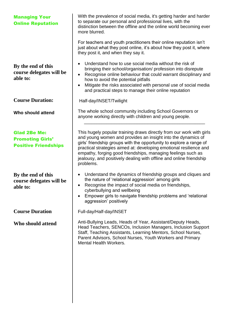| <b>Managing Your</b><br><b>Online Reputation</b>                              | With the prevalence of social media, it's getting harder and harder<br>to separate our personal and professional lives, with the<br>distinction between the offline and the online world becoming ever<br>more blurred.                                                                                                                                                                                                               |
|-------------------------------------------------------------------------------|---------------------------------------------------------------------------------------------------------------------------------------------------------------------------------------------------------------------------------------------------------------------------------------------------------------------------------------------------------------------------------------------------------------------------------------|
|                                                                               | For teachers and youth practitioners their online reputation isn't<br>just about what they post online, it's about how they post it, where<br>they post it, and when they say it.                                                                                                                                                                                                                                                     |
| By the end of this<br>course delegates will be<br>able to:                    | Understand how to use social media without the risk of<br>$\bullet$<br>bringing their school/organisation/ profession into disrepute<br>Recognise online behaviour that could warrant disciplinary and<br>how to avoid the potential pitfalls<br>Mitigate the risks associated with personal use of social media<br>and practical steps to manage their online reputation                                                             |
| <b>Course Duration:</b>                                                       | Half-day/INSET/Twilight                                                                                                                                                                                                                                                                                                                                                                                                               |
| Who should attend                                                             | The whole school community including School Governors or<br>anyone working directly with children and young people.                                                                                                                                                                                                                                                                                                                   |
| <b>Glad 2Be Me:</b><br><b>Promoting Girls'</b><br><b>Positive Friendships</b> | This hugely popular training draws directly from our work with girls<br>and young women and provides an insight into the dynamics of<br>girls' friendship groups with the opportunity to explore a range of<br>practical strategies aimed at: developing emotional resilience and<br>empathy, forging good friendships, managing feelings such as<br>jealousy, and positively dealing with offline and online friendship<br>problems. |
| By the end of this<br>course delegates will be<br>able to:                    | Understand the dynamics of friendship groups and cliques and<br>the nature of 'relational aggression' among girls<br>Recognise the impact of social media on friendships,<br>cyberbullying and wellbeing<br>Empower girls to navigate friendship problems and 'relational<br>aggression' positively                                                                                                                                   |
| <b>Course Duration</b>                                                        | Full-day/Half-day/INSET                                                                                                                                                                                                                                                                                                                                                                                                               |
| Who should attend                                                             | Anti-Bullying Leads, Heads of Year, Assistant/Deputy Heads,<br>Head Teachers, SENCOs, Inclusion Managers, Inclusion Support<br>Staff, Teaching Assistants, Learning Mentors, School Nurses,<br>Parent Advisors, School Nurses, Youth Workers and Primary<br><b>Mental Health Workers.</b>                                                                                                                                             |
|                                                                               |                                                                                                                                                                                                                                                                                                                                                                                                                                       |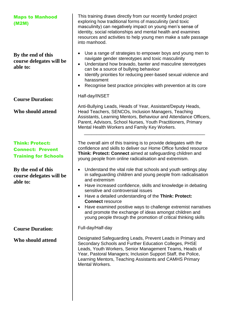| This training draws directly from our recently funded project<br>exploring how traditional forms of masculinity (and toxic<br>masculinity) can negatively impact on young men's sense of<br>identity, social relationships and mental health and examines<br>resources and activities to help young men make a safe passage<br>into manhood.                                                                                                                                                                                          |
|---------------------------------------------------------------------------------------------------------------------------------------------------------------------------------------------------------------------------------------------------------------------------------------------------------------------------------------------------------------------------------------------------------------------------------------------------------------------------------------------------------------------------------------|
| Use a range of strategies to empower boys and young men to<br>navigate gender stereotypes and toxic masculinity<br>Understand how bravado, banter and masculine stereotypes<br>$\bullet$<br>can be a source of bullying behaviour<br>Identify priorities for reducing peer-based sexual violence and<br>harassment<br>Recognise best practice principles with prevention at its core                                                                                                                                                  |
| Half-day/INSET                                                                                                                                                                                                                                                                                                                                                                                                                                                                                                                        |
| Anti-Bullying Leads, Heads of Year, Assistant/Deputy Heads,<br>Head Teachers, SENCOs, Inclusion Managers, Teaching<br>Assistants, Learning Mentors, Behaviour and Attendance Officers,<br>Parent, Advisors, School Nurses, Youth Practitioners, Primary<br>Mental Health Workers and Family Key Workers.                                                                                                                                                                                                                              |
| The overall aim of this training is to provide delegates with the<br>confidence and skills to deliver our Home Office funded resource<br>Think: Protect: Connect aimed at safeguarding children and<br>young people from online radicalisation and extremism.                                                                                                                                                                                                                                                                         |
| Understand the vital role that schools and youth settings play<br>in safeguarding children and young people from radicalisation<br>and extremism<br>Have increased confidence, skills and knowledge in debating<br>sensitive and controversial issues<br>Have a detailed understanding of the Think: Protect:<br><b>Connect resource</b><br>Have examined positive ways to challenge extremist narratives<br>and promote the exchange of ideas amongst children and<br>young people through the promotion of critical thinking skills |
| Full-day/Half-day                                                                                                                                                                                                                                                                                                                                                                                                                                                                                                                     |
| Designated Safeguarding Leads, Prevent Leads in Primary and<br>Secondary Schools and Further Education Colleges, PHSE<br>Leads, Youth Workers, Senior Management Teams, Heads of<br>Year, Pastoral Managers; Inclusion Support Staff, the Police,<br>Learning Mentors, Teaching Assistants and CAMHS Primary<br>Mental Workers.                                                                                                                                                                                                       |
|                                                                                                                                                                                                                                                                                                                                                                                                                                                                                                                                       |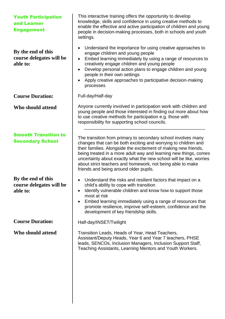| <b>Youth Participation</b><br>and Learner<br><b>Engagement</b> | This interactive training offers the opportunity to develop<br>knowledge, skills and confidence in using creative methods to<br>enable the effective and active participation of children and young<br>people in decision-making processes, both in schools and youth<br>settings.                                                                                                                                                                    |
|----------------------------------------------------------------|-------------------------------------------------------------------------------------------------------------------------------------------------------------------------------------------------------------------------------------------------------------------------------------------------------------------------------------------------------------------------------------------------------------------------------------------------------|
| By the end of this<br>course delegates will be<br>able to:     | Understand the importance for using creative approaches to<br>engage children and young people<br>Embed learning immediately by using a range of resources to<br>creatively engage children and young people<br>Develop personal action plans to engage children and young<br>$\bullet$<br>people in their own settings<br>Apply creative approaches to participative decision-making<br>processes                                                    |
| <b>Course Duration:</b>                                        | Full-day/Half-day                                                                                                                                                                                                                                                                                                                                                                                                                                     |
| Who should attend                                              | Anyone currently involved in participation work with children and<br>young people and those interested in finding out more about how<br>to use creative methods for participation e.g. those with<br>responsibility for supporting school councils.                                                                                                                                                                                                   |
| <b>Smooth Transition to</b><br><b>Secondary School</b>         | The transition from primary to secondary school involves many<br>changes that can be both exciting and worrying to children and<br>their families. Alongside the excitement of making new friends,<br>being treated in a more adult way and learning new things, comes<br>uncertainty about exactly what the new school will be like, worries<br>about strict teachers and homework, not being able to make<br>friends and being around older pupils. |
| By the end of this<br>course delegates will be<br>able to:     | Understand the risks and resilient factors that impact on a<br>child's ability to cope with transition<br>Identify vulnerable children and know how to support those<br>$\bullet$<br>most at risk<br>Embed learning immediately using a range of resources that<br>$\bullet$<br>promote resilience, improve self-esteem, confidence and the<br>development of key friendship skills.                                                                  |
| <b>Course Duration:</b>                                        | Half-day/INSET/Twilight                                                                                                                                                                                                                                                                                                                                                                                                                               |
| Who should attend                                              | Transition Leads, Heads of Year, Head Teachers,<br>Assistant/Deputy Heads, Year 6 and Year 7 teachers, PHSE<br>leads, SENCOs, Inclusion Managers, Inclusion Support Staff,<br>Teaching Assistants, Learning Mentors and Youth Workers.                                                                                                                                                                                                                |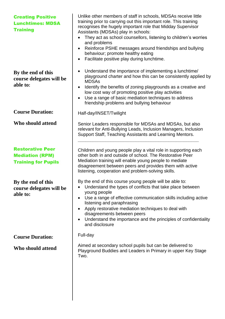| <b>Creating Positive</b><br><b>Lunchtimes: MDSA</b><br><b>Training</b>          | Unlike other members of staff in schools, MDSAs receive little<br>training prior to carrying out this important role. This training<br>recognises the hugely important role that Midday Supervisor<br>Assistants (MDSAs) play in schools:<br>They act as school counsellors, listening to children's worries<br>and problems<br>Reinforce PSHE messages around friendships and bullying<br>behaviour; promote healthy eating<br>Facilitate positive play during lunchtime.<br>$\bullet$ |
|---------------------------------------------------------------------------------|-----------------------------------------------------------------------------------------------------------------------------------------------------------------------------------------------------------------------------------------------------------------------------------------------------------------------------------------------------------------------------------------------------------------------------------------------------------------------------------------|
| By the end of this<br>course delegates will be<br>able to:                      | Understand the importance of implementing a lunchtime/<br>playground charter and how this can be consistently applied by<br><b>MDSAs</b><br>Identify the benefits of zoning playgrounds as a creative and<br>$\bullet$<br>low cost way of promoting positive play activities<br>Use a range of basic mediation techniques to address<br>$\bullet$<br>friendship problems and bullying behaviour                                                                                         |
| <b>Course Duration:</b>                                                         | Half-day/INSET/Twilight                                                                                                                                                                                                                                                                                                                                                                                                                                                                 |
| Who should attend                                                               | Senior Leaders responsible for MDSAs and MDSAs, but also<br>relevant for Anti-Bullying Leads, Inclusion Managers, Inclusion<br>Support Staff, Teaching Assistants and Learning Mentors.                                                                                                                                                                                                                                                                                                 |
| <b>Restorative Peer</b><br><b>Mediation (RPM)</b><br><b>Training for Pupils</b> | Children and young people play a vital role in supporting each<br>other both in and outside of school. The Restorative Peer<br>Mediation training will enable young people to mediate<br>disagreement between peers and provides them with active<br>listening, cooperation and problem-solving skills.                                                                                                                                                                                 |
| By the end of this<br>course delegates will be<br>able to:                      | By the end of this course young people will be able to:<br>Understand the types of conflicts that take place between<br>young people<br>Use a range of effective communication skills including active<br>$\bullet$<br>listening and paraphrasing<br>Apply restorative mediation techniques to deal with<br>disagreements between peers<br>Understand the importance and the principles of confidentiality<br>$\bullet$<br>and disclosure                                               |
| <b>Course Duration:</b>                                                         | Full-day                                                                                                                                                                                                                                                                                                                                                                                                                                                                                |
| Who should attend                                                               | Aimed at secondary school pupils but can be delivered to<br>Playground Buddies and Leaders in Primary in upper Key Stage<br>Two.                                                                                                                                                                                                                                                                                                                                                        |
|                                                                                 |                                                                                                                                                                                                                                                                                                                                                                                                                                                                                         |

 $\overline{\phantom{a}}$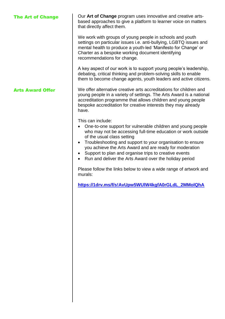| <b>The Art of Change</b> | Our Art of Change program uses innovative and creative arts-<br>based approaches to give a platform to learner voice on matters<br>that directly affect them.                                                                                                                                                                                                                                                                           |
|--------------------------|-----------------------------------------------------------------------------------------------------------------------------------------------------------------------------------------------------------------------------------------------------------------------------------------------------------------------------------------------------------------------------------------------------------------------------------------|
|                          | We work with groups of young people in schools and youth<br>settings on particular issues i.e. anti-bullying, LGBTQ issues and<br>mental health to produce a youth-led 'Manifesto for Change' or<br>Charter as a bespoke working document identifying<br>recommendations for change.                                                                                                                                                    |
|                          | A key aspect of our work is to support young people's leadership,<br>debating, critical thinking and problem-solving skills to enable<br>them to become change agents, youth leaders and active citizens.                                                                                                                                                                                                                               |
| <b>Arts Award Offer</b>  | We offer alternative creative arts accreditations for children and<br>young people in a variety of settings. The Arts Award is a national<br>accreditation programme that allows children and young people<br>bespoke accreditation for creative interests they may already<br>have.                                                                                                                                                    |
|                          | This can include:<br>One-to-one support for vulnerable children and young people<br>who may not be accessing full-time education or work outside<br>of the usual class setting<br>Troubleshooting and support to your organisation to ensure<br>you achieve the Arts Award and are ready for moderation<br>Support to plan and organise trips to creative events<br>$\bullet$<br>Run and deliver the Arts Award over the holiday period |
|                          | Please follow the links below to view a wide range of artwork and<br>murals:                                                                                                                                                                                                                                                                                                                                                            |
|                          | https://1drv.ms/f/s!AvUpw5WUIW4kgfA0rGLdL_2MMolQhA                                                                                                                                                                                                                                                                                                                                                                                      |
|                          |                                                                                                                                                                                                                                                                                                                                                                                                                                         |
|                          |                                                                                                                                                                                                                                                                                                                                                                                                                                         |
|                          |                                                                                                                                                                                                                                                                                                                                                                                                                                         |
|                          |                                                                                                                                                                                                                                                                                                                                                                                                                                         |
|                          |                                                                                                                                                                                                                                                                                                                                                                                                                                         |
|                          |                                                                                                                                                                                                                                                                                                                                                                                                                                         |
|                          |                                                                                                                                                                                                                                                                                                                                                                                                                                         |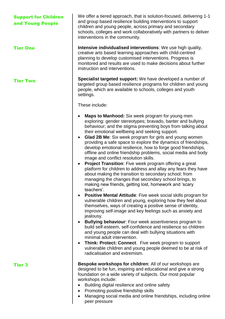| <b>Support for Children</b><br>and Young People | We offer a tiered approach, that is solution-focused, delivering 1-1<br>and group based resilience building interventions to support<br>children and young people, across primary and secondary<br>schools, colleges and work collaboratively with partners to deliver<br>interventions in the community.                                                                                                                                                                                                                                                                                                                                                                                                                                                                                                                                                                                                                                                                                                                                                                                                                                                                                                                                                                                                                                                                                                                                                                                                                                                                  |
|-------------------------------------------------|----------------------------------------------------------------------------------------------------------------------------------------------------------------------------------------------------------------------------------------------------------------------------------------------------------------------------------------------------------------------------------------------------------------------------------------------------------------------------------------------------------------------------------------------------------------------------------------------------------------------------------------------------------------------------------------------------------------------------------------------------------------------------------------------------------------------------------------------------------------------------------------------------------------------------------------------------------------------------------------------------------------------------------------------------------------------------------------------------------------------------------------------------------------------------------------------------------------------------------------------------------------------------------------------------------------------------------------------------------------------------------------------------------------------------------------------------------------------------------------------------------------------------------------------------------------------------|
| <b>Tier One</b>                                 | Intensive individualised interventions: We use high quality,<br>creative arts based learning approaches with child-centred<br>planning to develop customised interventions. Progress is<br>monitored and results are used to make decisions about further<br>instruction and interventions.                                                                                                                                                                                                                                                                                                                                                                                                                                                                                                                                                                                                                                                                                                                                                                                                                                                                                                                                                                                                                                                                                                                                                                                                                                                                                |
| <b>Tier Two</b>                                 | Specialist targeted support: We have developed a number of<br>targeted group based resilience programs for children and young<br>people, which are available to schools, colleges and youth<br>settings.                                                                                                                                                                                                                                                                                                                                                                                                                                                                                                                                                                                                                                                                                                                                                                                                                                                                                                                                                                                                                                                                                                                                                                                                                                                                                                                                                                   |
|                                                 | These include:                                                                                                                                                                                                                                                                                                                                                                                                                                                                                                                                                                                                                                                                                                                                                                                                                                                                                                                                                                                                                                                                                                                                                                                                                                                                                                                                                                                                                                                                                                                                                             |
|                                                 | <b>Maps to Manhood:</b> Six week program for young men<br>exploring: gender stereotypes; bravado, banter and bullying<br>behaviour; and the stigma preventing boys from talking about<br>their emotional wellbeing and seeking support.<br><b>Glad 2B Me:</b> Six week program for girls and young women<br>$\bullet$<br>providing a safe space to explore the dynamics of friendships,<br>develop emotional resilience, how to forge good friendships,<br>offline and online friendship problems, social media and body<br>image and conflict resolution skills.<br>Project Transition: Five week program offering a great<br>$\bullet$<br>platform for children to address and allay any fears they have<br>about making the transition to secondary school; from<br>managing the changes that secondary school brings, to<br>making new friends, getting lost, homework and 'scary<br>teachers'.<br>Positive Mental Attitude: Five week social skills program for<br>vulnerable children and young, exploring how they feel about<br>themselves, ways of creating a positive sense of identity,<br>improving self-image and key feelings such as anxiety and<br>jealousy.<br>Bullying behaviour: Four week assertiveness program to<br>$\bullet$<br>build self-esteem, self-confidence and resilience so children<br>and young people can deal with bullying situations with<br>minimal adult intervention.<br>• Think: Protect: Connect. Five week program to support<br>vulnerable children and young people deemed to be at risk of<br>radicalisation and extremism. |
| <b>Tier 3</b>                                   | Bespoke workshops for children: All of our workshops are<br>designed to be fun, inspiring and educational and give a strong<br>foundation on a wide variety of subjects. Our most popular<br>workshops include:<br>Building digital resilience and online safety<br>Promoting positive friendship skills<br>Managing social media and online friendships, including online<br>$\bullet$<br>peer pressure                                                                                                                                                                                                                                                                                                                                                                                                                                                                                                                                                                                                                                                                                                                                                                                                                                                                                                                                                                                                                                                                                                                                                                   |